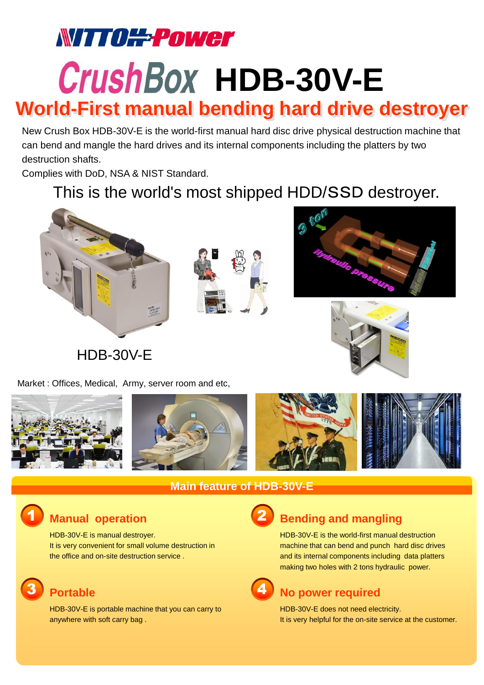# **WITTO#Fower**

# **CrushBox HDB-30V-E**

# **World-First manual bending hard drive destroyer**

New Crush Box HDB-30V-E is the world-first manual hard disc drive physical destruction machine that can bend and mangle the hard drives and its internal components including the platters by two destruction shafts.

Complies with DoD, NSA & NIST Standard.

# This is the world's most shipped HDD/SSD destroyer.









Market : Offices, Medical, Army, server room and etc,







## **Main feature of HDB-30V-E**

# 1

3

HDB-30V-E is manual destroyer. It is very convenient for small volume destruction in the office and on-site destruction service .

HDB-30V-E is portable machine that you can carry to anywhere with soft carry bag .

# 2

# **Manual operation Bending and mangling**

HDB-30V-E is the world-first manual destruction machine that can bend and punch hard disc drives and its internal components including data platters making two holes with 2 tons hydraulic power.

#### **Portable No power required** 4

HDB-30V-E does not need electricity. It is very helpful for the on-site service at the customer.